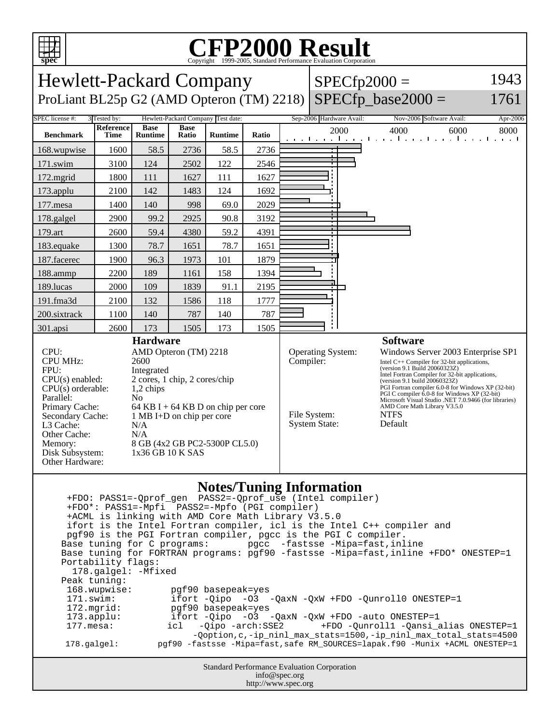

## C<sub>opyright</sub> ©1999-2005, Standard Performance Evaluation Corporation

| 1943<br><b>Hewlett-Packard Company</b><br>$SPECfp2000 =$                                                                                                                                                                                                                                                                                                                                                                                                                                                                                                                                                                                                                                                                                                                                                                                                                                                                                                                               |                          |                               |                      |                |                                                                                                                                                                                                                                                                                                                                                                                                                                                                                                             |  |                      |      |                                                                 |      |
|----------------------------------------------------------------------------------------------------------------------------------------------------------------------------------------------------------------------------------------------------------------------------------------------------------------------------------------------------------------------------------------------------------------------------------------------------------------------------------------------------------------------------------------------------------------------------------------------------------------------------------------------------------------------------------------------------------------------------------------------------------------------------------------------------------------------------------------------------------------------------------------------------------------------------------------------------------------------------------------|--------------------------|-------------------------------|----------------------|----------------|-------------------------------------------------------------------------------------------------------------------------------------------------------------------------------------------------------------------------------------------------------------------------------------------------------------------------------------------------------------------------------------------------------------------------------------------------------------------------------------------------------------|--|----------------------|------|-----------------------------------------------------------------|------|
| ProLiant BL25p G2 (AMD Opteron (TM) 2218)                                                                                                                                                                                                                                                                                                                                                                                                                                                                                                                                                                                                                                                                                                                                                                                                                                                                                                                                              |                          |                               |                      |                |                                                                                                                                                                                                                                                                                                                                                                                                                                                                                                             |  | $SPECfp\_base2000 =$ | 1761 |                                                                 |      |
| SPEC license #:<br>3 Tested by:<br>Hewlett-Packard Company Test date:<br>Sep-2006 Hardware Avail:<br>Nov-2006 Software Avail:<br>Apr-2006                                                                                                                                                                                                                                                                                                                                                                                                                                                                                                                                                                                                                                                                                                                                                                                                                                              |                          |                               |                      |                |                                                                                                                                                                                                                                                                                                                                                                                                                                                                                                             |  |                      |      |                                                                 |      |
| <b>Benchmark</b>                                                                                                                                                                                                                                                                                                                                                                                                                                                                                                                                                                                                                                                                                                                                                                                                                                                                                                                                                                       | <b>Reference</b><br>Time | <b>Base</b><br><b>Runtime</b> | <b>Base</b><br>Ratio | <b>Runtime</b> | Ratio                                                                                                                                                                                                                                                                                                                                                                                                                                                                                                       |  |                      | 2000 | 4000<br>6000<br>المتوجا وتوجا وتوجا وتوجا وتوجا وتوجا وتوجا وتو | 8000 |
| 168.wupwise                                                                                                                                                                                                                                                                                                                                                                                                                                                                                                                                                                                                                                                                                                                                                                                                                                                                                                                                                                            | 1600                     | 58.5                          | 2736                 | 58.5           | 2736                                                                                                                                                                                                                                                                                                                                                                                                                                                                                                        |  |                      |      |                                                                 |      |
| $171$ .swim                                                                                                                                                                                                                                                                                                                                                                                                                                                                                                                                                                                                                                                                                                                                                                                                                                                                                                                                                                            | 3100                     | 124                           | 2502                 | 122            | 2546                                                                                                                                                                                                                                                                                                                                                                                                                                                                                                        |  | $\mathbf{r}$         |      |                                                                 |      |
| 172.mgrid                                                                                                                                                                                                                                                                                                                                                                                                                                                                                                                                                                                                                                                                                                                                                                                                                                                                                                                                                                              | 1800                     | 111                           | 1627                 | 111            | 1627                                                                                                                                                                                                                                                                                                                                                                                                                                                                                                        |  |                      |      |                                                                 |      |
| 173.applu                                                                                                                                                                                                                                                                                                                                                                                                                                                                                                                                                                                                                                                                                                                                                                                                                                                                                                                                                                              | 2100                     | 142                           | 1483                 | 124            | 1692                                                                                                                                                                                                                                                                                                                                                                                                                                                                                                        |  |                      |      |                                                                 |      |
| 177.mesa                                                                                                                                                                                                                                                                                                                                                                                                                                                                                                                                                                                                                                                                                                                                                                                                                                                                                                                                                                               | 1400                     | 140                           | 998                  | 69.0           | 2029                                                                                                                                                                                                                                                                                                                                                                                                                                                                                                        |  |                      |      |                                                                 |      |
| 178.galgel                                                                                                                                                                                                                                                                                                                                                                                                                                                                                                                                                                                                                                                                                                                                                                                                                                                                                                                                                                             | 2900                     | 99.2                          | 2925                 | 90.8           | 3192                                                                                                                                                                                                                                                                                                                                                                                                                                                                                                        |  |                      |      |                                                                 |      |
| 179.art                                                                                                                                                                                                                                                                                                                                                                                                                                                                                                                                                                                                                                                                                                                                                                                                                                                                                                                                                                                | 2600                     | 59.4                          | 4380                 | 59.2           | 4391                                                                                                                                                                                                                                                                                                                                                                                                                                                                                                        |  |                      |      |                                                                 |      |
| 183.equake                                                                                                                                                                                                                                                                                                                                                                                                                                                                                                                                                                                                                                                                                                                                                                                                                                                                                                                                                                             | 1300                     | 78.7                          | 1651                 | 78.7           | 1651                                                                                                                                                                                                                                                                                                                                                                                                                                                                                                        |  |                      |      |                                                                 |      |
| 187.facerec                                                                                                                                                                                                                                                                                                                                                                                                                                                                                                                                                                                                                                                                                                                                                                                                                                                                                                                                                                            | 1900                     | 96.3                          | 1973                 | 101            | 1879                                                                                                                                                                                                                                                                                                                                                                                                                                                                                                        |  |                      |      |                                                                 |      |
| 188.ammp                                                                                                                                                                                                                                                                                                                                                                                                                                                                                                                                                                                                                                                                                                                                                                                                                                                                                                                                                                               | 2200                     | 189                           | 1161                 | 158            | 1394                                                                                                                                                                                                                                                                                                                                                                                                                                                                                                        |  |                      |      |                                                                 |      |
| 189.lucas                                                                                                                                                                                                                                                                                                                                                                                                                                                                                                                                                                                                                                                                                                                                                                                                                                                                                                                                                                              | 2000                     | 109                           | 1839                 | 91.1           | 2195                                                                                                                                                                                                                                                                                                                                                                                                                                                                                                        |  |                      |      |                                                                 |      |
| 191.fma3d                                                                                                                                                                                                                                                                                                                                                                                                                                                                                                                                                                                                                                                                                                                                                                                                                                                                                                                                                                              | 2100                     | 132                           | 1586                 | 118            | 1777                                                                                                                                                                                                                                                                                                                                                                                                                                                                                                        |  |                      |      |                                                                 |      |
| 200.sixtrack                                                                                                                                                                                                                                                                                                                                                                                                                                                                                                                                                                                                                                                                                                                                                                                                                                                                                                                                                                           | 1100                     | 140                           | 787                  | 140            | 787                                                                                                                                                                                                                                                                                                                                                                                                                                                                                                         |  |                      |      |                                                                 |      |
| 301.apsi                                                                                                                                                                                                                                                                                                                                                                                                                                                                                                                                                                                                                                                                                                                                                                                                                                                                                                                                                                               | 2600                     | 173<br><b>Hardware</b>        | 1505                 | 173            | 1505                                                                                                                                                                                                                                                                                                                                                                                                                                                                                                        |  |                      |      | <b>Software</b>                                                 |      |
| CPU:<br>AMD Opteron (TM) 2218<br><b>CPU MHz:</b><br>2600<br>FPU:<br>Integrated<br>$CPU(s)$ enabled:<br>2 cores, 1 chip, 2 cores/chip<br>$CPU(s)$ orderable:<br>1,2 chips<br>Parallel:<br>N <sub>0</sub><br>Primary Cache:<br>64 KB I + 64 KB D on chip per core<br>1 MB I+D on chip per core<br>Secondary Cache:<br>L3 Cache:<br>N/A<br>Other Cache:<br>N/A<br>8 GB (4x2 GB PC2-5300P CL5.0)<br>Memory:<br>Disk Subsystem:<br>1x36 GB 10 K SAS<br>Other Hardware:                                                                                                                                                                                                                                                                                                                                                                                                                                                                                                                      |                          |                               |                      |                | Operating System:<br>Windows Server 2003 Enterprise SP1<br>Compiler:<br>Intel $C++$ Compiler for 32-bit applications,<br>(version 9.1 Build 20060323Z)<br>Intel Fortran Compiler for 32-bit applications,<br>(version 9.1 build 20060323Z)<br>PGI Fortran compiler 6.0-8 for Windows XP (32-bit)<br>PGI C compiler 6.0-8 for Windows XP (32-bit)<br>Microsoft Visual Studio .NET 7.0.9466 (for libraries)<br>AMD Core Math Library V3.5.0<br>File System:<br><b>NTFS</b><br><b>System State:</b><br>Default |  |                      |      |                                                                 |      |
| <b>Notes/Tuning Information</b><br>+FDO*: PASS1=-Mpfi PASS2=-Mpfo (PGI compiler)<br>+ACML is linking with AMD Core Math Library V3.5.0<br>ifort is the Intel Fortran compiler, icl is the Intel C++ compiler and<br>pgf90 is the PGI Fortran compiler, pgcc is the PGI C compiler.<br>Base tuning for C programs: pgcc -fastsse -Mipa=fast, inline<br>Base tuning for FORTRAN programs: pgf90 -fastsse -Mipa=fast, inline +FDO* ONESTEP=1<br>Portability flags:<br>178.galgel: - Mfixed<br>Peak tuning:<br>168.wupwise:<br>pgf90 basepeak=yes<br>171.swim:<br>ifort -Qipo -03 -QaxN -QxW +FDO -Qunroll0 ONESTEP=1<br>pgf90 basepeak=yes<br>172.mgrid:<br>ifort -Qipo -03 -QaxN -QxW +FDO -auto ONESTEP=1<br>$173.\text{applu}:$<br>$177.$ mesa:<br>icl -Qipo -arch: SSE2<br>+FDO -Qunroll1 -Qansi_alias ONESTEP=1<br>-Qoption, c, -ip_ninl_max_stats=1500, -ip_ninl_max_total_stats=4500<br>pgf90 -fastsse -Mipa=fast, safe RM_SOURCES=lapak.f90 -Munix +ACML ONESTEP=1<br>178.galgel: |                          |                               |                      |                |                                                                                                                                                                                                                                                                                                                                                                                                                                                                                                             |  |                      |      |                                                                 |      |
| <b>Standard Performance Evaluation Corporation</b><br>info@spec.org<br>http://www.spec.org                                                                                                                                                                                                                                                                                                                                                                                                                                                                                                                                                                                                                                                                                                                                                                                                                                                                                             |                          |                               |                      |                |                                                                                                                                                                                                                                                                                                                                                                                                                                                                                                             |  |                      |      |                                                                 |      |